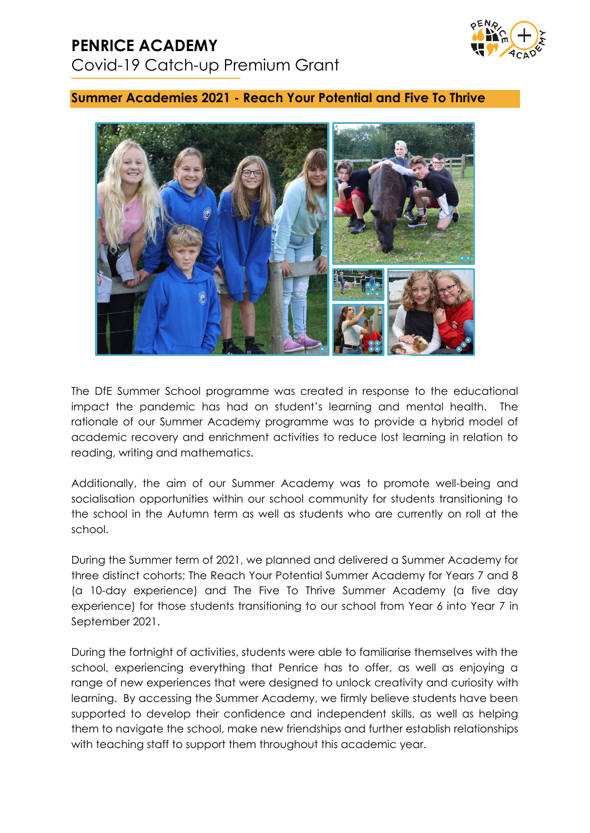### **PENRICE ACADEMY** Covid-19 Catch-up Premium Grant



#### **Summer Academies 2021 - Reach Your Potential and Five To Thrive**



The DfE Summer School programme was created in response to the educational impact the pandemic has had on student's learning and mental health. The rationale of our Summer Academy programme was to provide a hybrid model of academic recovery and enrichment activities to reduce lost learning in relation to reading, writing and mathematics.

Additionally, the aim of our Summer Academy was to promote well-being and socialisation opportunities within our school community for students transitioning to the school in the Autumn term as well as students who are currently on roll at the school.

During the Summer term of 2021, we planned and delivered a Summer Academy for three distinct cohorts; The Reach Your Potential Summer Academy for Years 7 and 8 (a 10-day experience) and The Five To Thrive Summer Academy (a five day experience) for those students transitioning to our school from Year 6 into Year 7 in September 2021.

During the fortnight of activities, students were able to familiarise themselves with the school, experiencing everything that Penrice has to offer, as well as enjoying a range of new experiences that were designed to unlock creativity and curiosity with learning. By accessing the Summer Academy, we firmly believe students have been supported to develop their confidence and independent skills, as well as helping them to navigate the school, make new friendships and further establish relationships with teaching staff to support them throughout this academic year.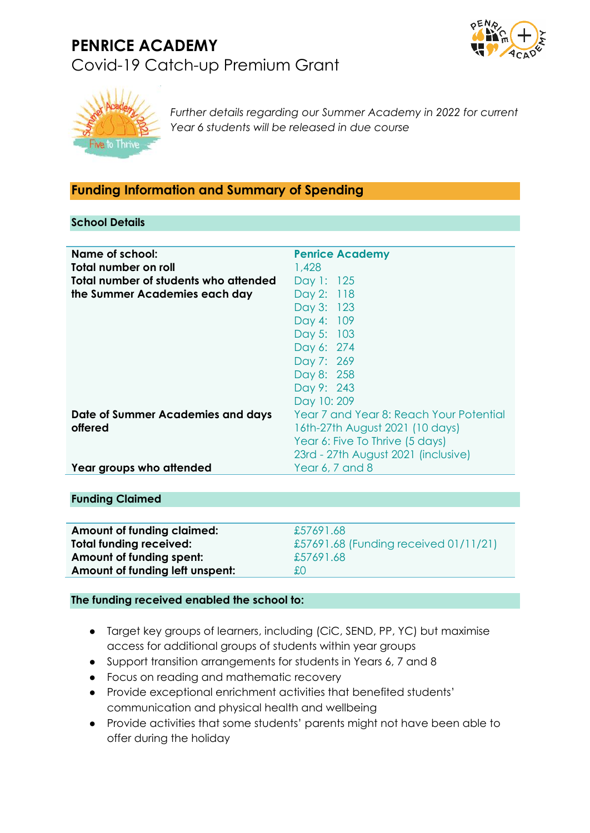# **PENRICE ACADEMY** Covid-19 Catch-up Premium Grant





*Further details regarding our Summer Academy in 2022 for current Year 6 students will be released in due course*

#### **Funding Information and Summary of Spending**

#### **School Details**

| Name of school:<br>Total number on roll<br>Total number of students who attended<br>the Summer Academies each day | <b>Penrice Academy</b><br>1,428<br>Day 1: 125<br>Day 2: 118<br>Day 3: 123<br>Day 4: 109<br>Day 5: 103<br>Day 6: 274<br>Day 7: 269<br>Day 8: 258<br>Day 9: 243<br>Day 10:209 |
|-------------------------------------------------------------------------------------------------------------------|-----------------------------------------------------------------------------------------------------------------------------------------------------------------------------|
| Date of Summer Academies and days<br>offered                                                                      | Year 7 and Year 8: Reach Your Potential<br>16th-27th August 2021 (10 days)<br>Year 6: Five To Thrive (5 days)<br>23rd - 27th August 2021 (inclusive)                        |
| Year groups who attended                                                                                          | Year 6, 7 and 8                                                                                                                                                             |

#### **Funding Claimed**

| <b>Amount of funding claimed:</b> | £57691.68                             |
|-----------------------------------|---------------------------------------|
| <b>Total funding received:</b>    | £57691.68 (Funding received 01/11/21) |
| Amount of funding spent:          | £57691.68                             |
| Amount of funding left unspent:   | £O.                                   |
|                                   |                                       |

#### **The funding received enabled the school to:**

- Target key groups of learners, including (CiC, SEND, PP, YC) but maximise access for additional groups of students within year groups
- Support transition arrangements for students in Years 6, 7 and 8
- Focus on reading and mathematic recovery
- Provide exceptional enrichment activities that benefited students' communication and physical health and wellbeing
- Provide activities that some students' parents might not have been able to offer during the holiday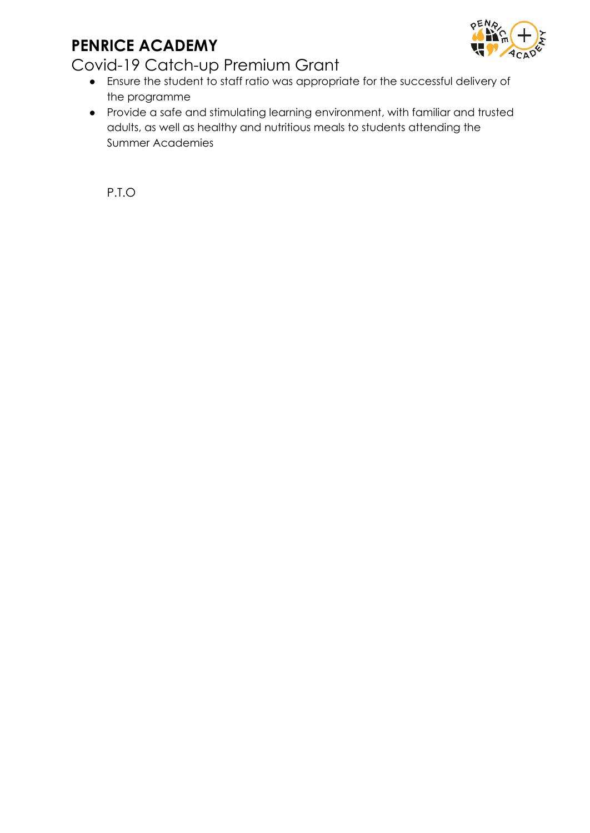## **PENRICE ACADEMY**



### Covid-19 Catch-up Premium Grant

- Ensure the student to staff ratio was appropriate for the successful delivery of the programme
- Provide a safe and stimulating learning environment, with familiar and trusted adults, as well as healthy and nutritious meals to students attending the Summer Academies

P.T.O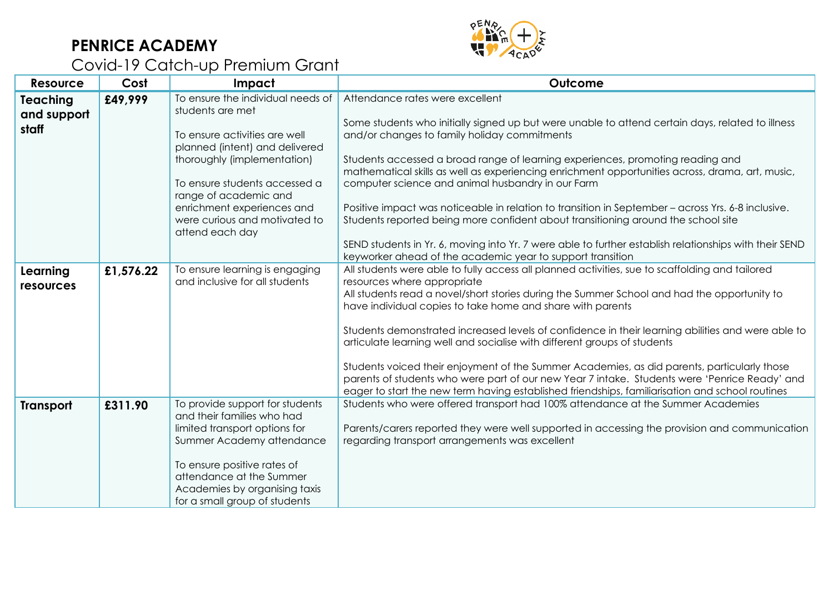## **PENRICE ACADEMY**



# Covid-19 Catch-up Premium Grant

| <b>Resource</b>                  | Cost      | Impact                                                                                                                                                                                                                                                                                              | Outcome                                                                                                                                                                                                                                                                                                                                                                                                                                                                                                                                                                                                                                                                                                                                                                                          |
|----------------------------------|-----------|-----------------------------------------------------------------------------------------------------------------------------------------------------------------------------------------------------------------------------------------------------------------------------------------------------|--------------------------------------------------------------------------------------------------------------------------------------------------------------------------------------------------------------------------------------------------------------------------------------------------------------------------------------------------------------------------------------------------------------------------------------------------------------------------------------------------------------------------------------------------------------------------------------------------------------------------------------------------------------------------------------------------------------------------------------------------------------------------------------------------|
| Teaching<br>and support<br>staff | £49,999   | To ensure the individual needs of<br>students are met<br>To ensure activities are well<br>planned (intent) and delivered<br>thoroughly (implementation)<br>To ensure students accessed a<br>range of academic and<br>enrichment experiences and<br>were curious and motivated to<br>attend each day | Attendance rates were excellent<br>Some students who initially signed up but were unable to attend certain days, related to illness<br>and/or changes to family holiday commitments<br>Students accessed a broad range of learning experiences, promoting reading and<br>mathematical skills as well as experiencing enrichment opportunities across, drama, art, music,<br>computer science and animal husbandry in our Farm<br>Positive impact was noticeable in relation to transition in September - across Yrs. 6-8 inclusive.<br>Students reported being more confident about transitioning around the school site<br>SEND students in Yr. 6, moving into Yr. 7 were able to further establish relationships with their SEND<br>keyworker ahead of the academic year to support transition |
| Learning<br>resources            | £1,576.22 | To ensure learning is engaging<br>and inclusive for all students                                                                                                                                                                                                                                    | All students were able to fully access all planned activities, sue to scaffolding and tailored<br>resources where appropriate<br>All students read a novel/short stories during the Summer School and had the opportunity to<br>have individual copies to take home and share with parents<br>Students demonstrated increased levels of confidence in their learning abilities and were able to<br>articulate learning well and socialise with different groups of students<br>Students voiced their enjoyment of the Summer Academies, as did parents, particularly those<br>parents of students who were part of our new Year 7 intake. Students were 'Penrice Ready' and<br>eager to start the new term having established friendships, familiarisation and school routines                   |
| <b>Transport</b>                 | £311.90   | To provide support for students<br>and their families who had<br>limited transport options for<br>Summer Academy attendance<br>To ensure positive rates of<br>attendance at the Summer<br>Academies by organising taxis<br>for a small group of students                                            | Students who were offered transport had 100% attendance at the Summer Academies<br>Parents/carers reported they were well supported in accessing the provision and communication<br>regarding transport arrangements was excellent                                                                                                                                                                                                                                                                                                                                                                                                                                                                                                                                                               |